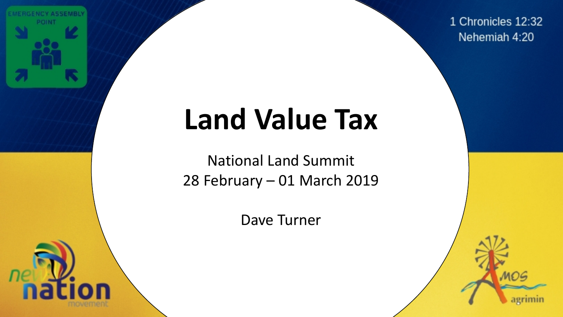

1 Chronicles 12:32 Nehemiah 4:20

# Land Value Tax **Land Value Tax**

National Land Summit 28 February – 01 March 2019

Dave Turner

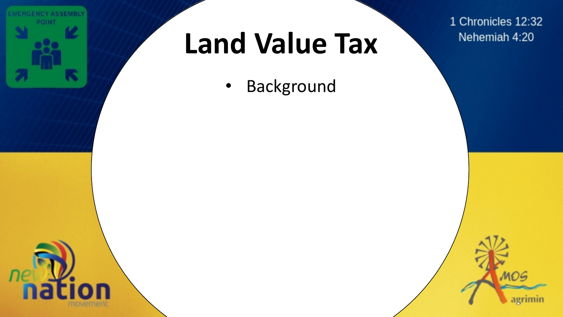

• Background

1 Chronicles 12:32 Nehemiah 4:20

agrimin

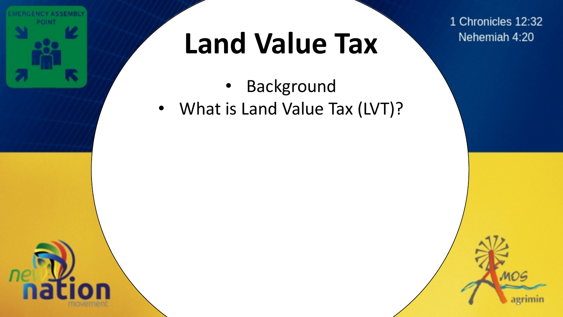

- **Background**
- What is Land Value Tax (LVT)?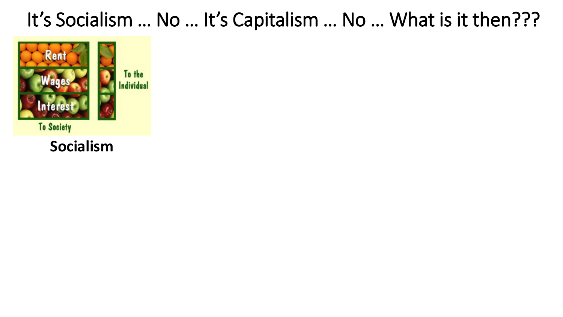

**Socialism**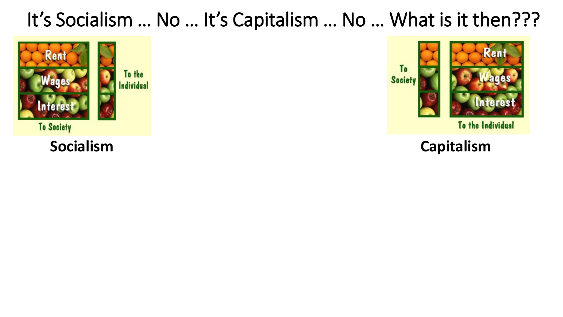



To the Individual

### **Socialism Capitalism**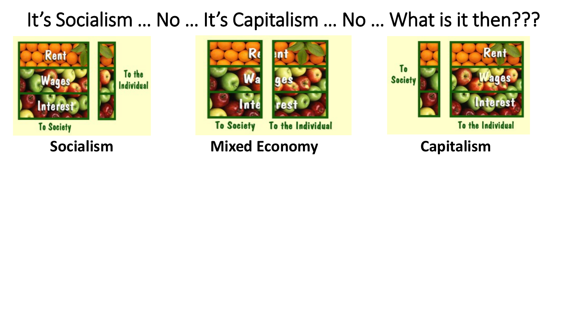



**To Society** To the Individual

**Socialism Mixed Economy Capitalism**

**To Society** 



To the Individual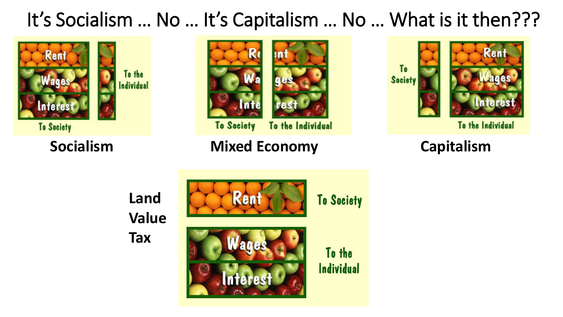



**To Society** To the Individual

**Socialism Mixed Economy Capitalism**



To the Individual

**Land Value Tax**

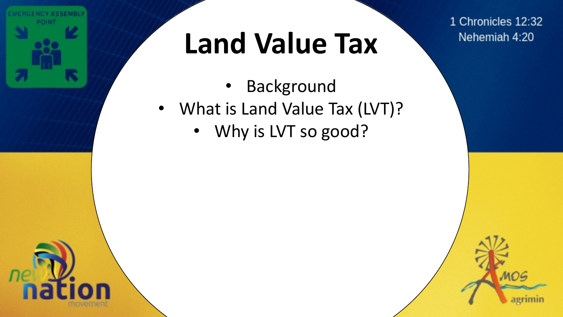

- **Background**
- What is Land Value Tax (LVT)?
	- Why is LVT so good?

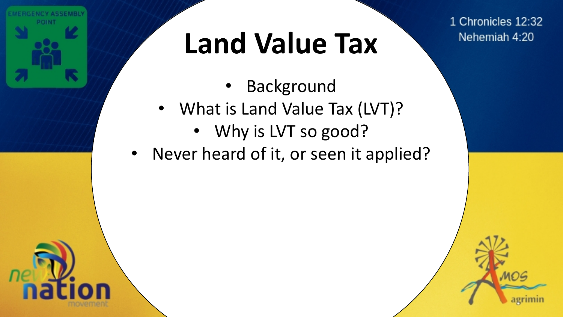

- **Background**
- What is Land Value Tax (LVT)?
	- Why is LVT so good?<br>er heard of it, or seen it ap
- Never heard of it, or seen it applied?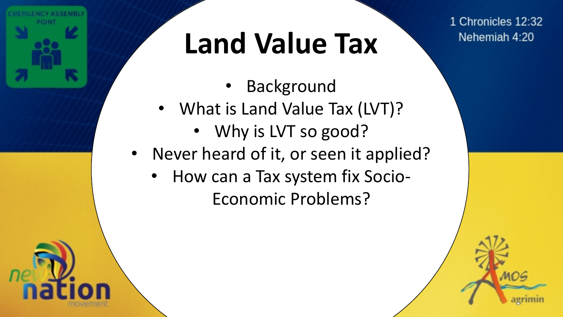

- **Background**
- What is Land Value Tax (LVT)?
	- Why is LVT so good?<br>er heard of it, or seen it ap
- Never heard of it, or seen it applied?
	- How can a Tax system fix Socio-Economic Problems?

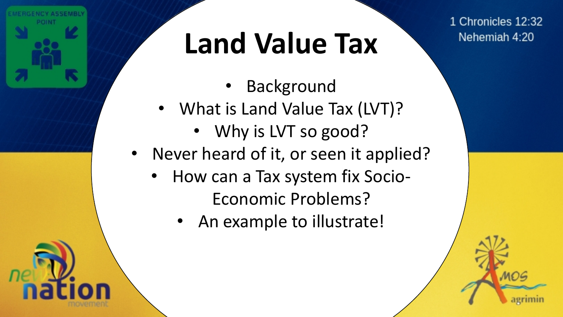

- **Background**
- What is Land Value Tax (LVT)?
	- Why is LVT so good?<br>er heard of it, or seen it ap
- Never heard of it, or seen it applied?
	- How can a Tax system fix Socio-Economic Problems?
		- An example to illustrate!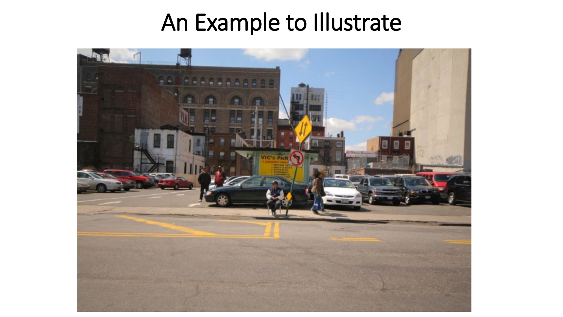### An Example to Illustrate